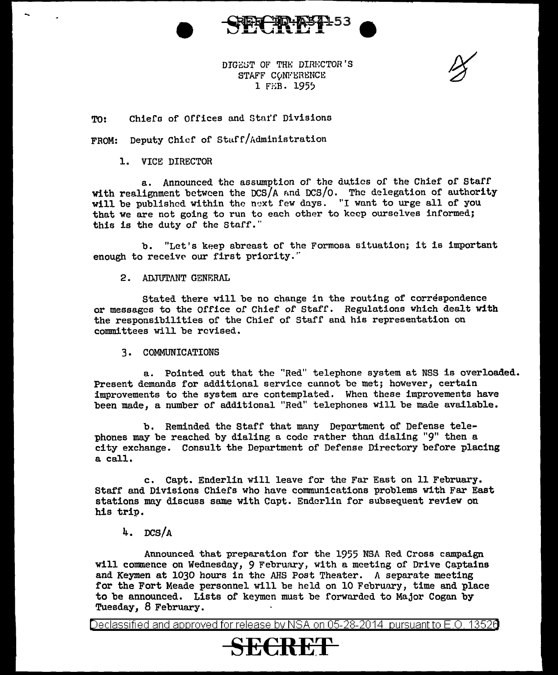

DIGEST OF THE DIRECTOR'S STAFF CONFERENCE 1 Firn. 195?

## TO: Chiefs of Offices and Stat'f Divisions

FROM: Deputy Chief of Staff/Administration

#### 1. VICE DIRECTOH

a. Announced the assumption of the duties of the Chief of Staff with realignment between the  $DCS/A$  and  $DCS/O$ . The delegation of authority will be published within the next few days. "I want to urge all of you that we are not going to run to each other to keep ourselves informed; this is the duty of the staff."

b. "Let's keep abreast of the Formosa situation; it is important enough to receive our first priority."

### 2. ADJUTANT GENERAL

Stated there will be no change in the routing of correspondence or messages to the Office of Chief of Staff. Regulations which dealt with the responsibilities of the Chief of Staff and his representation on committees will be revised.

#### 3. COMMUNICATIONS

a. Pointed out that the ''Red" telephone system at NSS is overloaded. Present demands for additional service cannot be met; however, certain improvements to the system are contemplated. When these improvements have been made, a number of additional "Red" telephones will be made available.

b. Reminded the Staff that many Department of Defense telephones may be reached by dialing a code rather than dialing "9" then a city exchange. Consult the Department of Defense Directory before placing a call.

c. Capt. Enderlin will leave for the Far East on 11 February. Staff and Divisions Chiefs who have communications problems with Far East stations may discuss same with Capt. Enderlin for subsequent review on his trip.

#### $4.$  DCS/A

Announced that preparation for the 1955 NSA Red Cross campaign will conmence on Wednesday, 9 February, with a meeting of Drive Captains and Keymen at 1030 hours in the AHS Post Theater. A separate meeting for the Fort Meade personnel will be held on 10 February, time and place to be announced. Lists of keymen must be forwarded to Major Cogan by Tuesday, 8 February.

Declassified and approved for release by NSA on 05-28-2014 pursuantto E.O. 1352a

# **SE€RE:F**